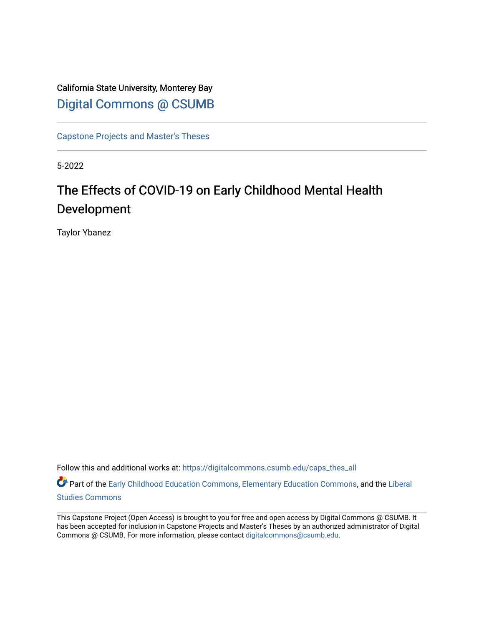California State University, Monterey Bay [Digital Commons @ CSUMB](https://digitalcommons.csumb.edu/)

[Capstone Projects and Master's Theses](https://digitalcommons.csumb.edu/caps_thes_all)

5-2022

# The Effects of COVID-19 on Early Childhood Mental Health Development

Taylor Ybanez

Follow this and additional works at: [https://digitalcommons.csumb.edu/caps\\_thes\\_all](https://digitalcommons.csumb.edu/caps_thes_all?utm_source=digitalcommons.csumb.edu%2Fcaps_thes_all%2F1279&utm_medium=PDF&utm_campaign=PDFCoverPages)

Part of the [Early Childhood Education Commons,](https://network.bepress.com/hgg/discipline/1377?utm_source=digitalcommons.csumb.edu%2Fcaps_thes_all%2F1279&utm_medium=PDF&utm_campaign=PDFCoverPages) [Elementary Education Commons,](https://network.bepress.com/hgg/discipline/1378?utm_source=digitalcommons.csumb.edu%2Fcaps_thes_all%2F1279&utm_medium=PDF&utm_campaign=PDFCoverPages) and the [Liberal](https://network.bepress.com/hgg/discipline/1042?utm_source=digitalcommons.csumb.edu%2Fcaps_thes_all%2F1279&utm_medium=PDF&utm_campaign=PDFCoverPages) [Studies Commons](https://network.bepress.com/hgg/discipline/1042?utm_source=digitalcommons.csumb.edu%2Fcaps_thes_all%2F1279&utm_medium=PDF&utm_campaign=PDFCoverPages) 

This Capstone Project (Open Access) is brought to you for free and open access by Digital Commons @ CSUMB. It has been accepted for inclusion in Capstone Projects and Master's Theses by an authorized administrator of Digital Commons @ CSUMB. For more information, please contact [digitalcommons@csumb.edu](mailto:digitalcommons@csumb.edu).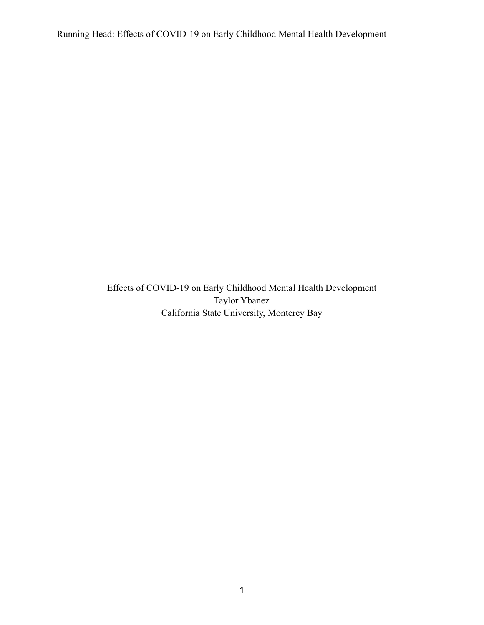Effects of COVID-19 on Early Childhood Mental Health Development Taylor Ybanez California State University, Monterey Bay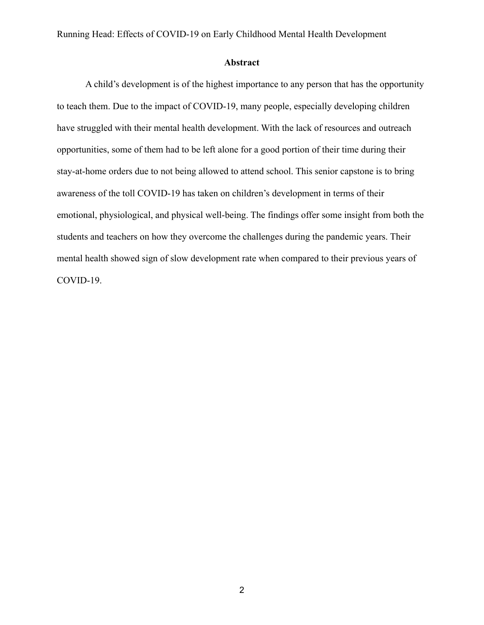#### **Abstract**

A child's development is of the highest importance to any person that has the opportunity to teach them. Due to the impact of COVID-19, many people, especially developing children have struggled with their mental health development. With the lack of resources and outreach opportunities, some of them had to be left alone for a good portion of their time during their stay-at-home orders due to not being allowed to attend school. This senior capstone is to bring awareness of the toll COVID-19 has taken on children's development in terms of their emotional, physiological, and physical well-being. The findings offer some insight from both the students and teachers on how they overcome the challenges during the pandemic years. Their mental health showed sign of slow development rate when compared to their previous years of COVID-19.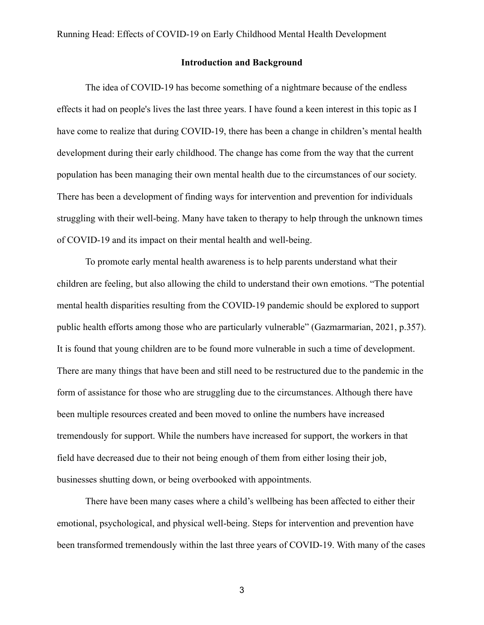#### **Introduction and Background**

The idea of COVID-19 has become something of a nightmare because of the endless effects it had on people's lives the last three years. I have found a keen interest in this topic as I have come to realize that during COVID-19, there has been a change in children's mental health development during their early childhood. The change has come from the way that the current population has been managing their own mental health due to the circumstances of our society. There has been a development of finding ways for intervention and prevention for individuals struggling with their well-being. Many have taken to therapy to help through the unknown times of COVID-19 and its impact on their mental health and well-being.

To promote early mental health awareness is to help parents understand what their children are feeling, but also allowing the child to understand their own emotions. "The potential mental health disparities resulting from the COVID-19 pandemic should be explored to support public health efforts among those who are particularly vulnerable" (Gazmarmarian, 2021, p.357). It is found that young children are to be found more vulnerable in such a time of development. There are many things that have been and still need to be restructured due to the pandemic in the form of assistance for those who are struggling due to the circumstances. Although there have been multiple resources created and been moved to online the numbers have increased tremendously for support. While the numbers have increased for support, the workers in that field have decreased due to their not being enough of them from either losing their job, businesses shutting down, or being overbooked with appointments.

There have been many cases where a child's wellbeing has been affected to either their emotional, psychological, and physical well-being. Steps for intervention and prevention have been transformed tremendously within the last three years of COVID-19. With many of the cases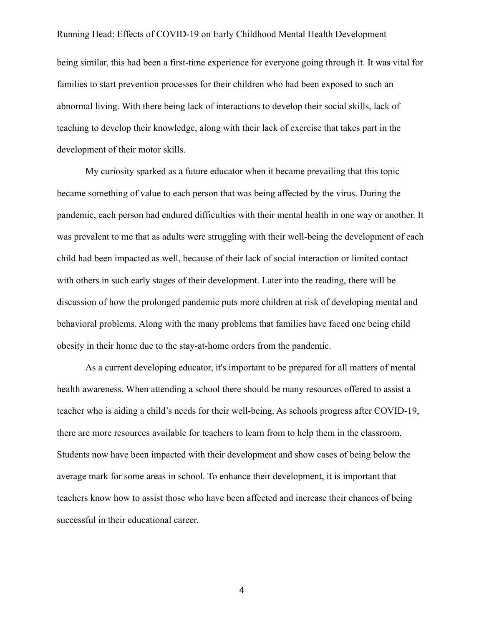being similar, this had been a first-time experience for everyone going through it. It was vital for families to start prevention processes for their children who had been exposed to such an abnormal living. With there being lack of interactions to develop their social skills, lack of teaching to develop their knowledge, along with their lack of exercise that takes part in the development of their motor skills.

My curiosity sparked as a future educator when it became prevailing that this topic became something of value to each person that was being affected by the virus. During the pandemic, each person had endured difficulties with their mental health in one way or another. It was prevalent to me that as adults were struggling with their well-being the development of each child had been impacted as well, because of their lack of social interaction or limited contact with others in such early stages of their development. Later into the reading, there will be discussion of how the prolonged pandemic puts more children at risk of developing mental and behavioral problems. Along with the many problems that families have faced one being child obesity in their home due to the stay-at-home orders from the pandemic.

As a current developing educator, it's important to be prepared for all matters of mental health awareness. When attending a school there should be many resources offered to assist a teacher who is aiding a child's needs for their well-being. As schools progress after COVID-19, there are more resources available for teachers to learn from to help them in the classroom. Students now have been impacted with their development and show cases of being below the average mark for some areas in school. To enhance their development, it is important that teachers know how to assist those who have been affected and increase their chances of being successful in their educational career.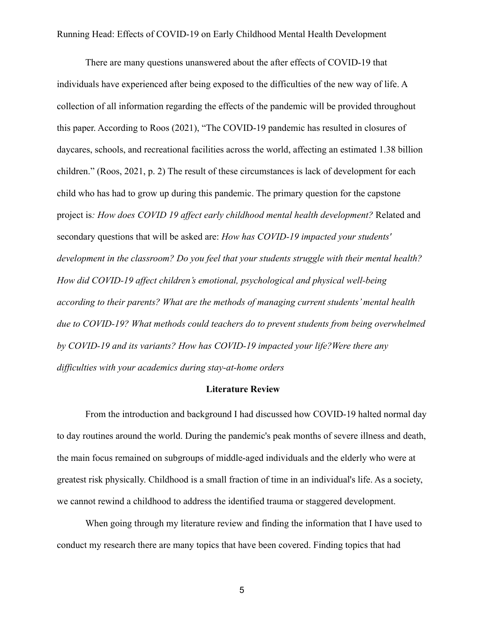There are many questions unanswered about the after effects of COVID-19 that individuals have experienced after being exposed to the difficulties of the new way of life. A collection of all information regarding the effects of the pandemic will be provided throughout this paper. According to Roos (2021), "The COVID-19 pandemic has resulted in closures of daycares, schools, and recreational facilities across the world, affecting an estimated 1.38 billion children." (Roos, 2021, p. 2) The result of these circumstances is lack of development for each child who has had to grow up during this pandemic. The primary question for the capstone project is*: How does COVID 19 affect early childhood mental health development?* Related and secondary questions that will be asked are: *How has COVID-19 impacted your students' development in the classroom? Do you feel that your students struggle with their mental health? How did COVID-19 affect children's emotional, psychological and physical well-being according to their parents? What are the methods of managing current students' mental health due to COVID-19? What methods could teachers do to prevent students from being overwhelmed by COVID-19 and its variants? How has COVID-19 impacted your life?Were there any difficulties with your academics during stay-at-home orders*

#### **Literature Review**

From the introduction and background I had discussed how COVID-19 halted normal day to day routines around the world. During the pandemic's peak months of severe illness and death, the main focus remained on subgroups of middle-aged individuals and the elderly who were at greatest risk physically. Childhood is a small fraction of time in an individual's life. As a society, we cannot rewind a childhood to address the identified trauma or staggered development.

When going through my literature review and finding the information that I have used to conduct my research there are many topics that have been covered. Finding topics that had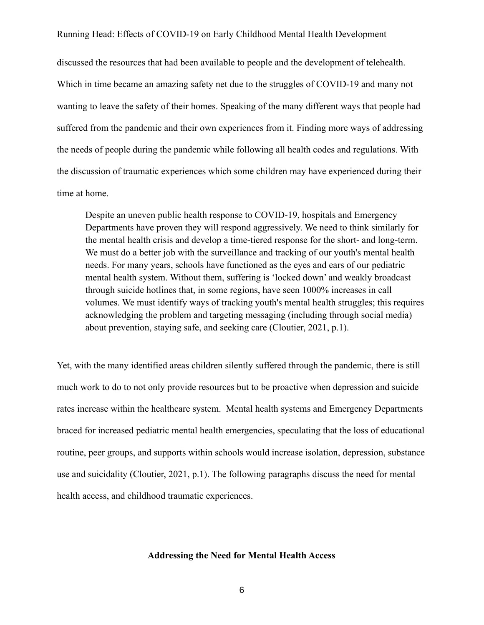discussed the resources that had been available to people and the development of telehealth. Which in time became an amazing safety net due to the struggles of COVID-19 and many not wanting to leave the safety of their homes. Speaking of the many different ways that people had suffered from the pandemic and their own experiences from it. Finding more ways of addressing the needs of people during the pandemic while following all health codes and regulations. With the discussion of traumatic experiences which some children may have experienced during their time at home.

Despite an uneven public health response to COVID-19, hospitals and Emergency Departments have proven they will respond aggressively. We need to think similarly for the mental health crisis and develop a time-tiered response for the short- and long-term. We must do a better job with the surveillance and tracking of our youth's mental health needs. For many years, schools have functioned as the eyes and ears of our pediatric mental health system. Without them, suffering is 'locked down' and weakly broadcast through suicide hotlines that, in some regions, have seen 1000% increases in call volumes. We must identify ways of tracking youth's mental health struggles; this requires acknowledging the problem and targeting messaging (including through social media) about prevention, staying safe, and seeking care (Cloutier, 2021, p.1).

Yet, with the many identified areas children silently suffered through the pandemic, there is still much work to do to not only provide resources but to be proactive when depression and suicide rates increase within the healthcare system. Mental health systems and Emergency Departments braced for increased pediatric mental health emergencies, speculating that the loss of educational routine, peer groups, and supports within schools would increase isolation, depression, substance use and suicidality (Cloutier, 2021, p.1). The following paragraphs discuss the need for mental health access, and childhood traumatic experiences.

#### **Addressing the Need for Mental Health Access**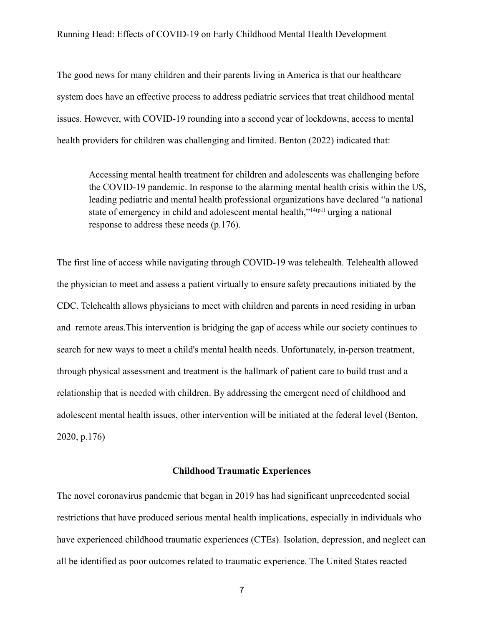The good news for many children and their parents living in America is that our healthcare system does have an effective process to address pediatric services that treat childhood mental issues. However, with COVID-19 rounding into a second year of lockdowns, access to mental health providers for children was challenging and limited. Benton (2022) indicated that:

Accessing mental health treatment for children and adolescents was challenging before the COVID-19 pandemic. In response to the alarming mental health crisis within the US, leading pediatric and mental health professional organizations have declared "a national state of emergency in child and adolescent mental health," $14(p1)$  $14(p1)$  urging a national response to address these needs (p.176).

The first line of access while navigating through COVID-19 was telehealth. Telehealth allowed the physician to meet and assess a patient virtually to ensure safety precautions initiated by the CDC. Telehealth allows physicians to meet with children and parents in need residing in urban and remote areas.This intervention is bridging the gap of access while our society continues to search for new ways to meet a child's mental health needs. Unfortunately, in-person treatment, through physical assessment and treatment is the hallmark of patient care to build trust and a relationship that is needed with children. By addressing the emergent need of childhood and adolescent mental health issues, other intervention will be initiated at the federal level (Benton, 2020, p.176)

#### **Childhood Traumatic Experiences**

The novel coronavirus pandemic that began in 2019 has had significant unprecedented social restrictions that have produced serious mental health implications, especially in individuals who have experienced childhood traumatic experiences (CTEs). Isolation, depression, and neglect can all be identified as poor outcomes related to traumatic experience. The United States reacted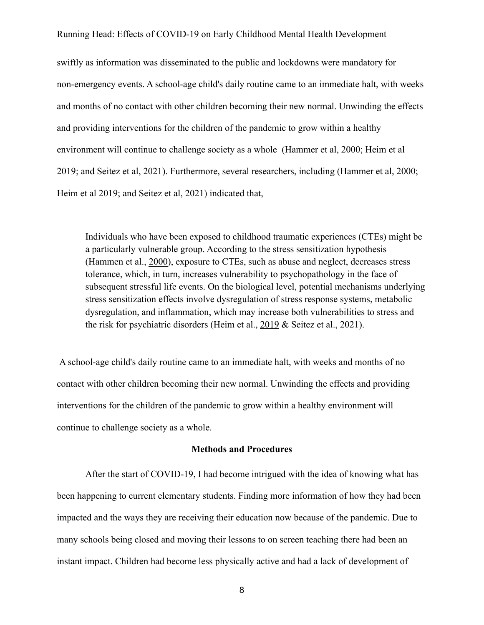swiftly as information was disseminated to the public and lockdowns were mandatory for non-emergency events. A school-age child's daily routine came to an immediate halt, with weeks and months of no contact with other children becoming their new normal. Unwinding the effects and providing interventions for the children of the pandemic to grow within a healthy environment will continue to challenge society as a whole (Hammer et al, 2000; Heim et al 2019; and Seitez et al, 2021). Furthermore, several researchers, including (Hammer et al, 2000; Heim et al 2019; and Seitez et al, 2021) indicated that,

Individuals who have been exposed to childhood traumatic experiences (CTEs) might be a particularly vulnerable group. According to the stress sensitization hypothesis (Hammen et al., [2000](https://onlinelibrary-wiley-com.csumb.idm.oclc.org/doi/full/10.1002/jts.22660#jts22660-bib-0022)), exposure to CTEs, such as abuse and neglect, decreases stress tolerance, which, in turn, increases vulnerability to psychopathology in the face of subsequent stressful life events. On the biological level, potential mechanisms underlying stress sensitization effects involve dysregulation of stress response systems, metabolic dysregulation, and inflammation, which may increase both vulnerabilities to stress and the risk for psychiatric disorders (Heim et al., [2019](https://onlinelibrary-wiley-com.csumb.idm.oclc.org/doi/full/10.1002/jts.22660#jts22660-bib-0025) & Seitez et al., 2021).

A school-age child's daily routine came to an immediate halt, with weeks and months of no contact with other children becoming their new normal. Unwinding the effects and providing interventions for the children of the pandemic to grow within a healthy environment will continue to challenge society as a whole.

#### **Methods and Procedures**

After the start of COVID-19, I had become intrigued with the idea of knowing what has been happening to current elementary students. Finding more information of how they had been impacted and the ways they are receiving their education now because of the pandemic. Due to many schools being closed and moving their lessons to on screen teaching there had been an instant impact. Children had become less physically active and had a lack of development of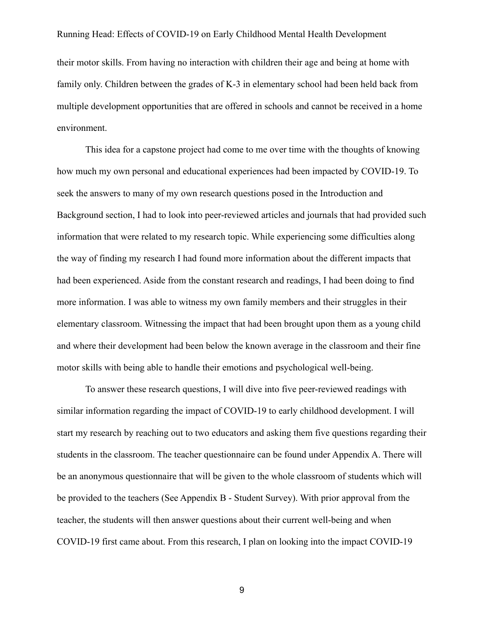their motor skills. From having no interaction with children their age and being at home with family only. Children between the grades of K-3 in elementary school had been held back from multiple development opportunities that are offered in schools and cannot be received in a home environment.

This idea for a capstone project had come to me over time with the thoughts of knowing how much my own personal and educational experiences had been impacted by COVID-19. To seek the answers to many of my own research questions posed in the Introduction and Background section, I had to look into peer-reviewed articles and journals that had provided such information that were related to my research topic. While experiencing some difficulties along the way of finding my research I had found more information about the different impacts that had been experienced. Aside from the constant research and readings, I had been doing to find more information. I was able to witness my own family members and their struggles in their elementary classroom. Witnessing the impact that had been brought upon them as a young child and where their development had been below the known average in the classroom and their fine motor skills with being able to handle their emotions and psychological well-being.

To answer these research questions, I will dive into five peer-reviewed readings with similar information regarding the impact of COVID-19 to early childhood development. I will start my research by reaching out to two educators and asking them five questions regarding their students in the classroom. The teacher questionnaire can be found under Appendix A. There will be an anonymous questionnaire that will be given to the whole classroom of students which will be provided to the teachers (See Appendix B - Student Survey). With prior approval from the teacher, the students will then answer questions about their current well-being and when COVID-19 first came about. From this research, I plan on looking into the impact COVID-19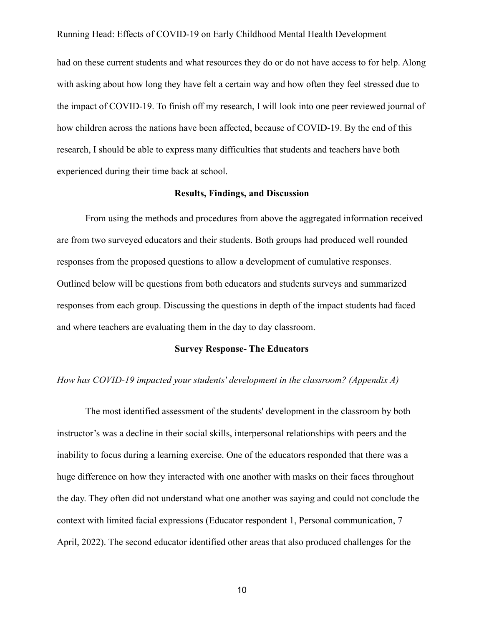had on these current students and what resources they do or do not have access to for help. Along with asking about how long they have felt a certain way and how often they feel stressed due to the impact of COVID-19. To finish off my research, I will look into one peer reviewed journal of how children across the nations have been affected, because of COVID-19. By the end of this research, I should be able to express many difficulties that students and teachers have both experienced during their time back at school.

#### **Results, Findings, and Discussion**

From using the methods and procedures from above the aggregated information received are from two surveyed educators and their students. Both groups had produced well rounded responses from the proposed questions to allow a development of cumulative responses. Outlined below will be questions from both educators and students surveys and summarized responses from each group. Discussing the questions in depth of the impact students had faced and where teachers are evaluating them in the day to day classroom.

## **Survey Response- The Educators**

#### *How has COVID-19 impacted your students' development in the classroom? (Appendix A)*

The most identified assessment of the students' development in the classroom by both instructor's was a decline in their social skills, interpersonal relationships with peers and the inability to focus during a learning exercise. One of the educators responded that there was a huge difference on how they interacted with one another with masks on their faces throughout the day. They often did not understand what one another was saying and could not conclude the context with limited facial expressions (Educator respondent 1, Personal communication, 7 April, 2022). The second educator identified other areas that also produced challenges for the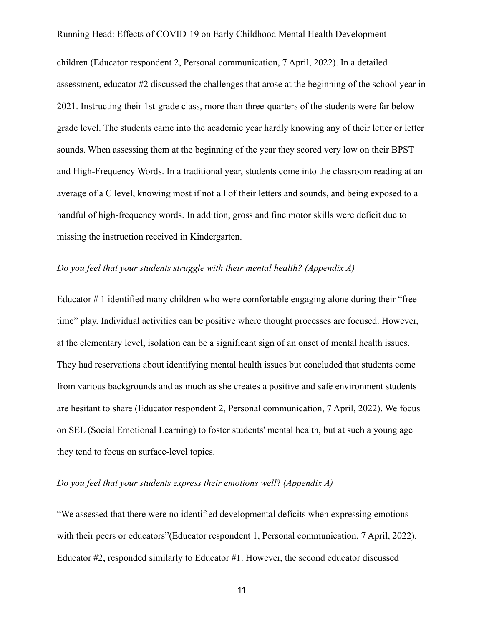children (Educator respondent 2, Personal communication, 7 April, 2022). In a detailed assessment, educator #2 discussed the challenges that arose at the beginning of the school year in 2021. Instructing their 1st-grade class, more than three-quarters of the students were far below grade level. The students came into the academic year hardly knowing any of their letter or letter sounds. When assessing them at the beginning of the year they scored very low on their BPST and High-Frequency Words. In a traditional year, students come into the classroom reading at an average of a C level, knowing most if not all of their letters and sounds, and being exposed to a handful of high-frequency words. In addition, gross and fine motor skills were deficit due to missing the instruction received in Kindergarten.

#### *Do you feel that your students struggle with their mental health? (Appendix A)*

Educator # 1 identified many children who were comfortable engaging alone during their "free time" play. Individual activities can be positive where thought processes are focused. However, at the elementary level, isolation can be a significant sign of an onset of mental health issues. They had reservations about identifying mental health issues but concluded that students come from various backgrounds and as much as she creates a positive and safe environment students are hesitant to share (Educator respondent 2, Personal communication, 7 April, 2022). We focus on SEL (Social Emotional Learning) to foster students' mental health, but at such a young age they tend to focus on surface-level topics.

## *Do you feel that your students express their emotions well*? *(Appendix A)*

"We assessed that there were no identified developmental deficits when expressing emotions with their peers or educators"(Educator respondent 1, Personal communication, 7 April, 2022). Educator #2, responded similarly to Educator #1. However, the second educator discussed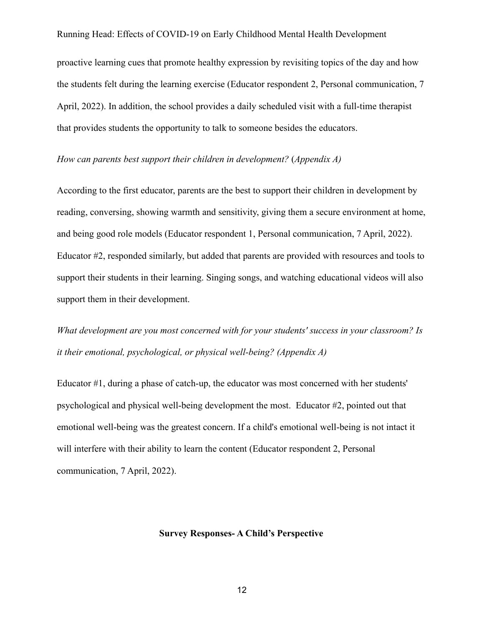proactive learning cues that promote healthy expression by revisiting topics of the day and how the students felt during the learning exercise (Educator respondent 2, Personal communication, 7 April, 2022). In addition, the school provides a daily scheduled visit with a full-time therapist that provides students the opportunity to talk to someone besides the educators.

#### *How can parents best support their children in development?* (*Appendix A)*

According to the first educator, parents are the best to support their children in development by reading, conversing, showing warmth and sensitivity, giving them a secure environment at home, and being good role models (Educator respondent 1, Personal communication, 7 April, 2022). Educator #2, responded similarly, but added that parents are provided with resources and tools to support their students in their learning. Singing songs, and watching educational videos will also support them in their development.

*What development are you most concerned with for your students' success in your classroom? Is it their emotional, psychological, or physical well-being? (Appendix A)*

Educator #1, during a phase of catch-up, the educator was most concerned with her students' psychological and physical well-being development the most. Educator #2, pointed out that emotional well-being was the greatest concern. If a child's emotional well-being is not intact it will interfere with their ability to learn the content (Educator respondent 2, Personal communication, 7 April, 2022).

#### **Survey Responses- A Child's Perspective**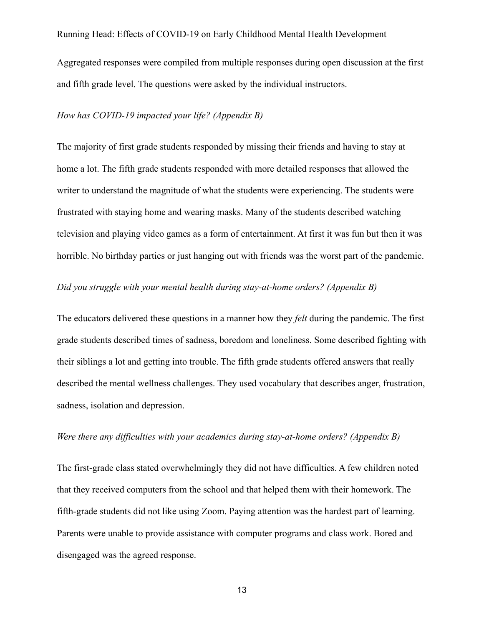Aggregated responses were compiled from multiple responses during open discussion at the first and fifth grade level. The questions were asked by the individual instructors.

#### *How has COVID-19 impacted your life? (Appendix B)*

The majority of first grade students responded by missing their friends and having to stay at home a lot. The fifth grade students responded with more detailed responses that allowed the writer to understand the magnitude of what the students were experiencing. The students were frustrated with staying home and wearing masks. Many of the students described watching television and playing video games as a form of entertainment. At first it was fun but then it was horrible. No birthday parties or just hanging out with friends was the worst part of the pandemic.

# *Did you struggle with your mental health during stay-at-home orders? (Appendix B)*

The educators delivered these questions in a manner how they *felt* during the pandemic. The first grade students described times of sadness, boredom and loneliness. Some described fighting with their siblings a lot and getting into trouble. The fifth grade students offered answers that really described the mental wellness challenges. They used vocabulary that describes anger, frustration, sadness, isolation and depression.

## *Were there any difficulties with your academics during stay-at-home orders? (Appendix B)*

The first-grade class stated overwhelmingly they did not have difficulties. A few children noted that they received computers from the school and that helped them with their homework. The fifth-grade students did not like using Zoom. Paying attention was the hardest part of learning. Parents were unable to provide assistance with computer programs and class work. Bored and disengaged was the agreed response.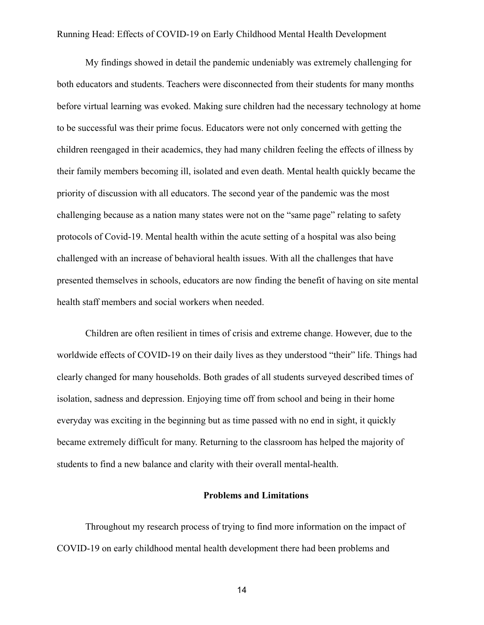My findings showed in detail the pandemic undeniably was extremely challenging for both educators and students. Teachers were disconnected from their students for many months before virtual learning was evoked. Making sure children had the necessary technology at home to be successful was their prime focus. Educators were not only concerned with getting the children reengaged in their academics, they had many children feeling the effects of illness by their family members becoming ill, isolated and even death. Mental health quickly became the priority of discussion with all educators. The second year of the pandemic was the most challenging because as a nation many states were not on the "same page" relating to safety protocols of Covid-19. Mental health within the acute setting of a hospital was also being challenged with an increase of behavioral health issues. With all the challenges that have presented themselves in schools, educators are now finding the benefit of having on site mental health staff members and social workers when needed.

Children are often resilient in times of crisis and extreme change. However, due to the worldwide effects of COVID-19 on their daily lives as they understood "their" life. Things had clearly changed for many households. Both grades of all students surveyed described times of isolation, sadness and depression. Enjoying time off from school and being in their home everyday was exciting in the beginning but as time passed with no end in sight, it quickly became extremely difficult for many. Returning to the classroom has helped the majority of students to find a new balance and clarity with their overall mental-health.

#### **Problems and Limitations**

Throughout my research process of trying to find more information on the impact of COVID-19 on early childhood mental health development there had been problems and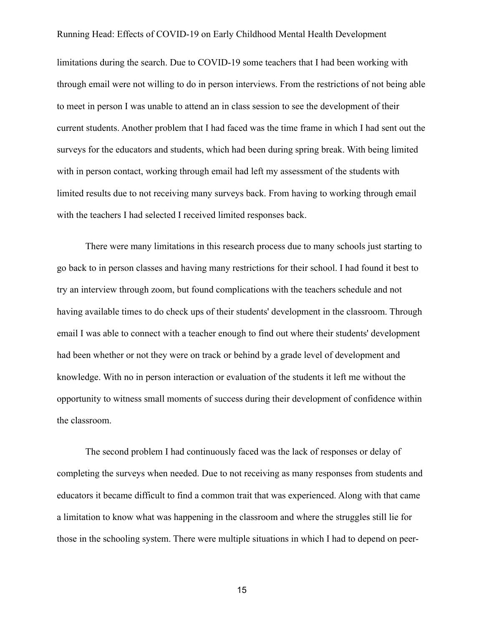limitations during the search. Due to COVID-19 some teachers that I had been working with through email were not willing to do in person interviews. From the restrictions of not being able to meet in person I was unable to attend an in class session to see the development of their current students. Another problem that I had faced was the time frame in which I had sent out the surveys for the educators and students, which had been during spring break. With being limited with in person contact, working through email had left my assessment of the students with limited results due to not receiving many surveys back. From having to working through email with the teachers I had selected I received limited responses back.

There were many limitations in this research process due to many schools just starting to go back to in person classes and having many restrictions for their school. I had found it best to try an interview through zoom, but found complications with the teachers schedule and not having available times to do check ups of their students' development in the classroom. Through email I was able to connect with a teacher enough to find out where their students' development had been whether or not they were on track or behind by a grade level of development and knowledge. With no in person interaction or evaluation of the students it left me without the opportunity to witness small moments of success during their development of confidence within the classroom.

The second problem I had continuously faced was the lack of responses or delay of completing the surveys when needed. Due to not receiving as many responses from students and educators it became difficult to find a common trait that was experienced. Along with that came a limitation to know what was happening in the classroom and where the struggles still lie for those in the schooling system. There were multiple situations in which I had to depend on peer-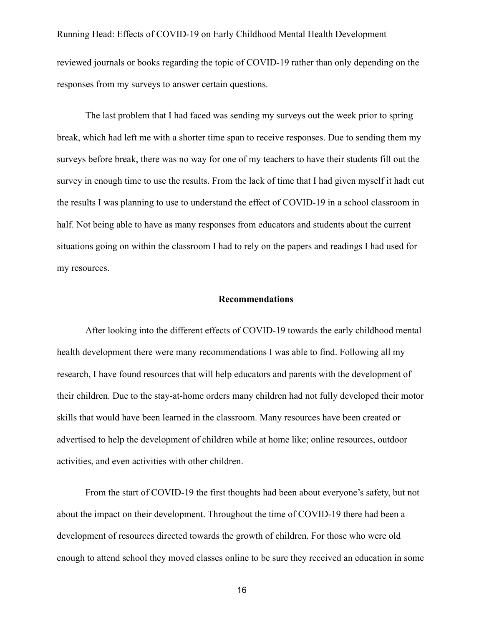Running Head: Effects of COVID-19 on Early Childhood Mental Health Development reviewed journals or books regarding the topic of COVID-19 rather than only depending on the responses from my surveys to answer certain questions.

The last problem that I had faced was sending my surveys out the week prior to spring break, which had left me with a shorter time span to receive responses. Due to sending them my surveys before break, there was no way for one of my teachers to have their students fill out the survey in enough time to use the results. From the lack of time that I had given myself it hadt cut the results I was planning to use to understand the effect of COVID-19 in a school classroom in half. Not being able to have as many responses from educators and students about the current situations going on within the classroom I had to rely on the papers and readings I had used for my resources.

#### **Recommendations**

After looking into the different effects of COVID-19 towards the early childhood mental health development there were many recommendations I was able to find. Following all my research, I have found resources that will help educators and parents with the development of their children. Due to the stay-at-home orders many children had not fully developed their motor skills that would have been learned in the classroom. Many resources have been created or advertised to help the development of children while at home like; online resources, outdoor activities, and even activities with other children.

From the start of COVID-19 the first thoughts had been about everyone's safety, but not about the impact on their development. Throughout the time of COVID-19 there had been a development of resources directed towards the growth of children. For those who were old enough to attend school they moved classes online to be sure they received an education in some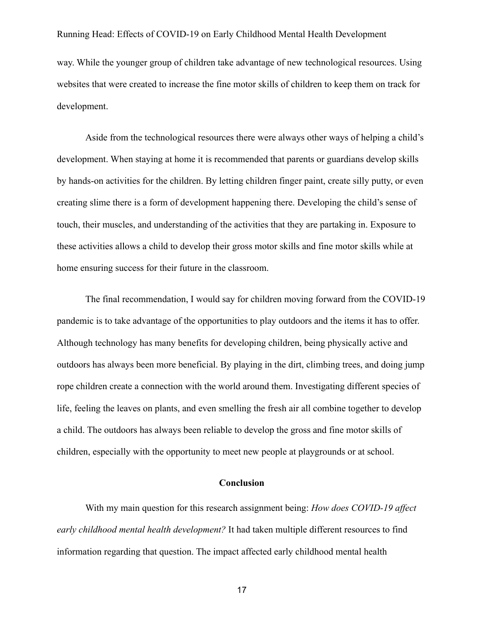way. While the younger group of children take advantage of new technological resources. Using websites that were created to increase the fine motor skills of children to keep them on track for development.

Aside from the technological resources there were always other ways of helping a child's development. When staying at home it is recommended that parents or guardians develop skills by hands-on activities for the children. By letting children finger paint, create silly putty, or even creating slime there is a form of development happening there. Developing the child's sense of touch, their muscles, and understanding of the activities that they are partaking in. Exposure to these activities allows a child to develop their gross motor skills and fine motor skills while at home ensuring success for their future in the classroom.

The final recommendation, I would say for children moving forward from the COVID-19 pandemic is to take advantage of the opportunities to play outdoors and the items it has to offer. Although technology has many benefits for developing children, being physically active and outdoors has always been more beneficial. By playing in the dirt, climbing trees, and doing jump rope children create a connection with the world around them. Investigating different species of life, feeling the leaves on plants, and even smelling the fresh air all combine together to develop a child. The outdoors has always been reliable to develop the gross and fine motor skills of children, especially with the opportunity to meet new people at playgrounds or at school.

#### **Conclusion**

With my main question for this research assignment being: *How does COVID-19 affect early childhood mental health development?* It had taken multiple different resources to find information regarding that question. The impact affected early childhood mental health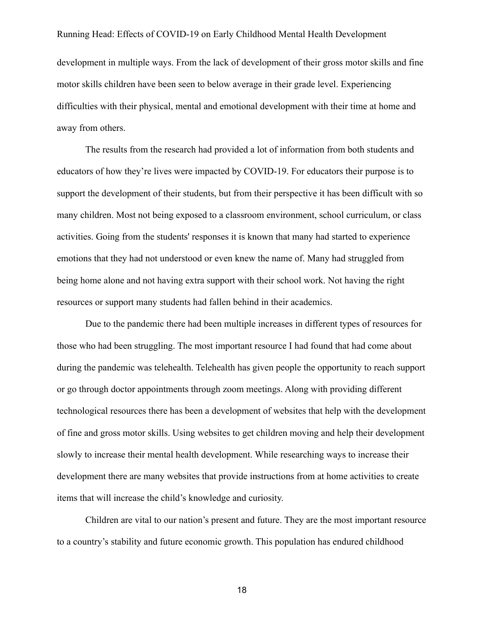development in multiple ways. From the lack of development of their gross motor skills and fine motor skills children have been seen to below average in their grade level. Experiencing difficulties with their physical, mental and emotional development with their time at home and away from others.

The results from the research had provided a lot of information from both students and educators of how they're lives were impacted by COVID-19. For educators their purpose is to support the development of their students, but from their perspective it has been difficult with so many children. Most not being exposed to a classroom environment, school curriculum, or class activities. Going from the students' responses it is known that many had started to experience emotions that they had not understood or even knew the name of. Many had struggled from being home alone and not having extra support with their school work. Not having the right resources or support many students had fallen behind in their academics.

Due to the pandemic there had been multiple increases in different types of resources for those who had been struggling. The most important resource I had found that had come about during the pandemic was telehealth. Telehealth has given people the opportunity to reach support or go through doctor appointments through zoom meetings. Along with providing different technological resources there has been a development of websites that help with the development of fine and gross motor skills. Using websites to get children moving and help their development slowly to increase their mental health development. While researching ways to increase their development there are many websites that provide instructions from at home activities to create items that will increase the child's knowledge and curiosity.

Children are vital to our nation's present and future. They are the most important resource to a country's stability and future economic growth. This population has endured childhood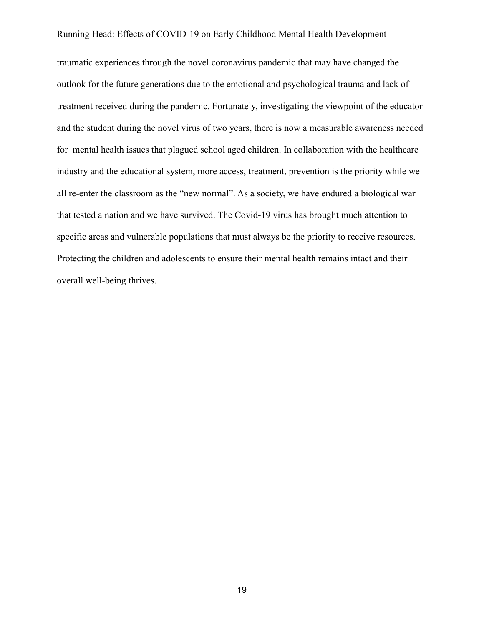traumatic experiences through the novel coronavirus pandemic that may have changed the outlook for the future generations due to the emotional and psychological trauma and lack of treatment received during the pandemic. Fortunately, investigating the viewpoint of the educator and the student during the novel virus of two years, there is now a measurable awareness needed for mental health issues that plagued school aged children. In collaboration with the healthcare industry and the educational system, more access, treatment, prevention is the priority while we all re-enter the classroom as the "new normal". As a society, we have endured a biological war that tested a nation and we have survived. The Covid-19 virus has brought much attention to specific areas and vulnerable populations that must always be the priority to receive resources. Protecting the children and adolescents to ensure their mental health remains intact and their overall well-being thrives.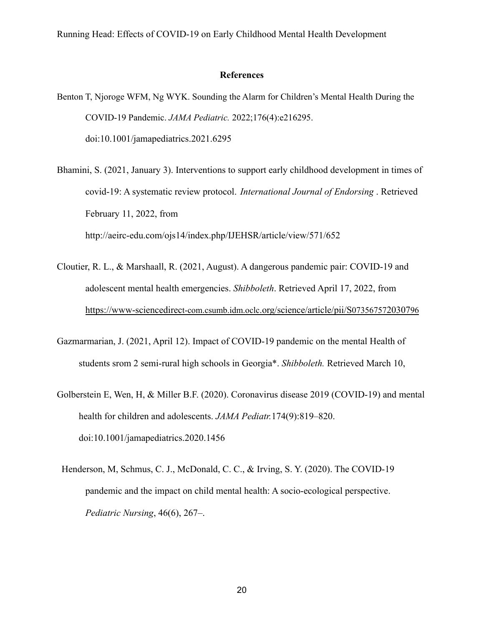#### **References**

- Benton T, Njoroge WFM, Ng WYK. Sounding the Alarm for Children's Mental Health During the COVID-19 Pandemic. *JAMA Pediatric.* 2022;176(4):e216295. doi:10.1001/jamapediatrics.2021.6295
- Bhamini, S. (2021, January 3). Interventions to support early childhood development in times of covid-19: A systematic review protocol. *International Journal of Endorsing* . Retrieved February 11, 2022, from http://aeirc-edu.com/ojs14/index.php/IJEHSR/article/view/571/652
- Cloutier, R. L., & Marshaall, R. (2021, August). A dangerous pandemic pair: COVID-19 and adolescent mental health emergencies. *Shibboleth*. Retrieved April 17, 2022, from [https://www-sciencedirec](https://www-sciencedirect-com.csumb.idm.oclc.org/science/article/pii/S073567572030796)t-com.csumb.idm.oclc.org/science/article/pii/S073567572030796
- Gazmarmarian, J. (2021, April 12). Impact of COVID-19 pandemic on the mental Health of students srom 2 semi-rural high schools in Georgia\*. *Shibboleth.* Retrieved March 10,
- Golberstein E, Wen, H, & Miller B.F. (2020). Coronavirus disease 2019 (COVID-19) and mental health for children and adolescents. *JAMA Pediatr.*174(9):819–820. doi:10.1001/jamapediatrics.2020.1456
- Henderson, M, Schmus, C. J., McDonald, C. C., & Irving, S. Y. (2020). The COVID-19 pandemic and the impact on child mental health: A socio-ecological perspective. *Pediatric Nursing*, 46(6), 267–.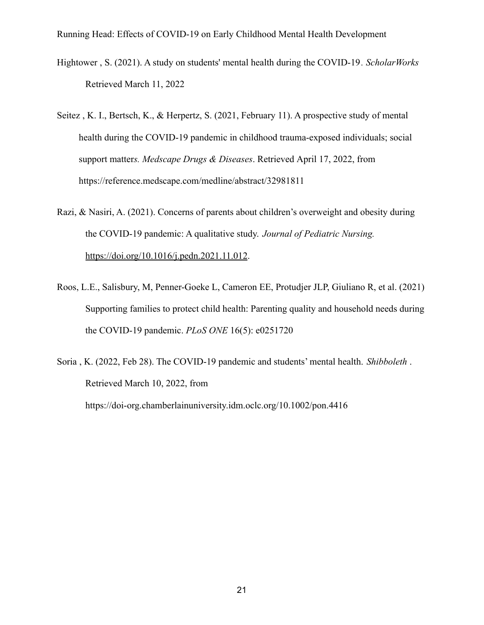- Hightower , S. (2021). A study on students' mental health during the COVID-19 *. ScholarWorks* Retrieved March 11, 2022
- Seitez , K. I., Bertsch, K., & Herpertz, S. (2021, February 11). A prospective study of mental health during the COVID-19 pandemic in childhood trauma-exposed individuals; social support matter*s. Medscape Drugs & Diseases*. Retrieved April 17, 2022, from https://reference.medscape.com/medline/abstract/32981811
- Razi, & Nasiri, A. (2021). Concerns of parents about children's overweight and obesity during the COVID-19 pandemic: A qualitative study. *Journal of Pediatric Nursing.* <https://doi.org/10.1016/j.pedn.2021.11.012>.
- Roos, L.E., Salisbury, M, Penner-Goeke L, Cameron EE, Protudjer JLP, Giuliano R, et al. (2021) Supporting families to protect child health: Parenting quality and household needs during the COVID-19 pandemic. *PLoS ONE* 16(5): e0251720
- Soria , K. (2022, Feb 28). The COVID-19 pandemic and students' mental health. *Shibboleth* . Retrieved March 10, 2022, from https://doi-org.chamberlainuniversity.idm.oclc.org/10.1002/pon.4416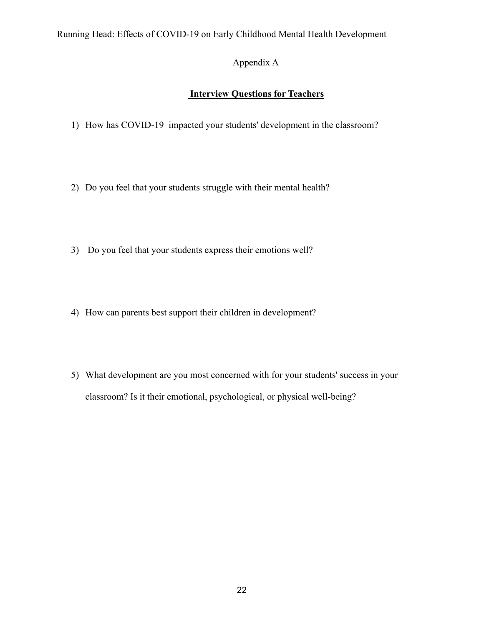# Appendix A

# **Interview Questions for Teachers**

- 1) How has COVID-19 impacted your students' development in the classroom?
- 2) Do you feel that your students struggle with their mental health?
- 3) Do you feel that your students express their emotions well?
- 4) How can parents best support their children in development?
- 5) What development are you most concerned with for your students' success in your classroom? Is it their emotional, psychological, or physical well-being?